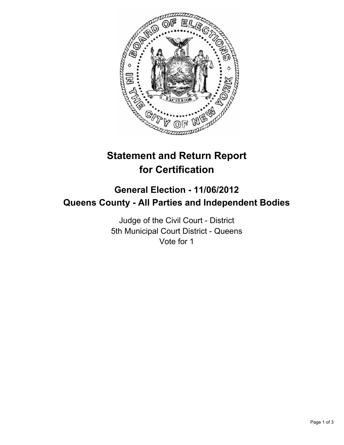

# **Statement and Return Report for Certification**

## **General Election - 11/06/2012 Queens County - All Parties and Independent Bodies**

Judge of the Civil Court - District 5th Municipal Court District - Queens Vote for 1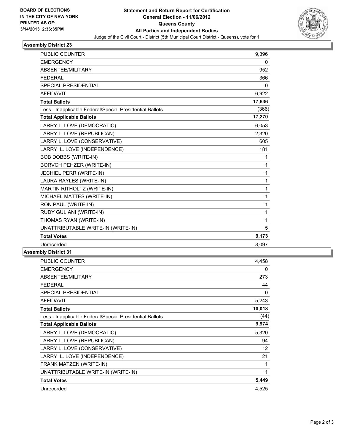

#### **Assembly District 23**

| <b>PUBLIC COUNTER</b>                                    | 9,396  |
|----------------------------------------------------------|--------|
| <b>EMERGENCY</b>                                         | 0      |
| ABSENTEE/MILITARY                                        | 952    |
| <b>FEDERAL</b>                                           | 366    |
| SPECIAL PRESIDENTIAL                                     | 0      |
| <b>AFFIDAVIT</b>                                         | 6,922  |
| <b>Total Ballots</b>                                     | 17,636 |
| Less - Inapplicable Federal/Special Presidential Ballots | (366)  |
| <b>Total Applicable Ballots</b>                          | 17,270 |
| LARRY L. LOVE (DEMOCRATIC)                               | 6,053  |
| LARRY L. LOVE (REPUBLICAN)                               | 2,320  |
| LARRY L. LOVE (CONSERVATIVE)                             | 605    |
| LARRY L. LOVE (INDEPENDENCE)                             | 181    |
| <b>BOB DOBBS (WRITE-IN)</b>                              | 1      |
| <b>BORVCH PEHZER (WRITE-IN)</b>                          | 1      |
| JECHIEL PERR (WRITE-IN)                                  | 1      |
| LAURA RAYLES (WRITE-IN)                                  | 1      |
| MARTIN RITHOLTZ (WRITE-IN)                               | 1      |
| MICHAEL MATTES (WRITE-IN)                                | 1      |
| RON PAUL (WRITE-IN)                                      | 1      |
| RUDY GULIANI (WRITE-IN)                                  | 1      |
| THOMAS RYAN (WRITE-IN)                                   | 1      |
| UNATTRIBUTABLE WRITE-IN (WRITE-IN)                       | 5      |
| <b>Total Votes</b>                                       | 9,173  |
| Unrecorded                                               | 8,097  |

### **Assembly District 31**

| PUBLIC COUNTER                                           | 4.458             |
|----------------------------------------------------------|-------------------|
| <b>EMERGENCY</b>                                         | 0                 |
| ABSENTEE/MILITARY                                        | 273               |
| <b>FEDERAL</b>                                           | 44                |
| SPECIAL PRESIDENTIAL                                     | 0                 |
| <b>AFFIDAVIT</b>                                         | 5,243             |
| <b>Total Ballots</b>                                     | 10,018            |
| Less - Inapplicable Federal/Special Presidential Ballots | (44)              |
| <b>Total Applicable Ballots</b>                          | 9,974             |
| LARRY L. LOVE (DEMOCRATIC)                               | 5,320             |
| LARRY L. LOVE (REPUBLICAN)                               | 94                |
| LARRY L. LOVE (CONSERVATIVE)                             | $12 \overline{ }$ |
| LARRY L. LOVE (INDEPENDENCE)                             | 21                |
| FRANK MATZEN (WRITE-IN)                                  | 1                 |
| UNATTRIBUTABLE WRITE-IN (WRITE-IN)                       | 1                 |
| <b>Total Votes</b>                                       | 5,449             |
| Unrecorded                                               | 4,525             |